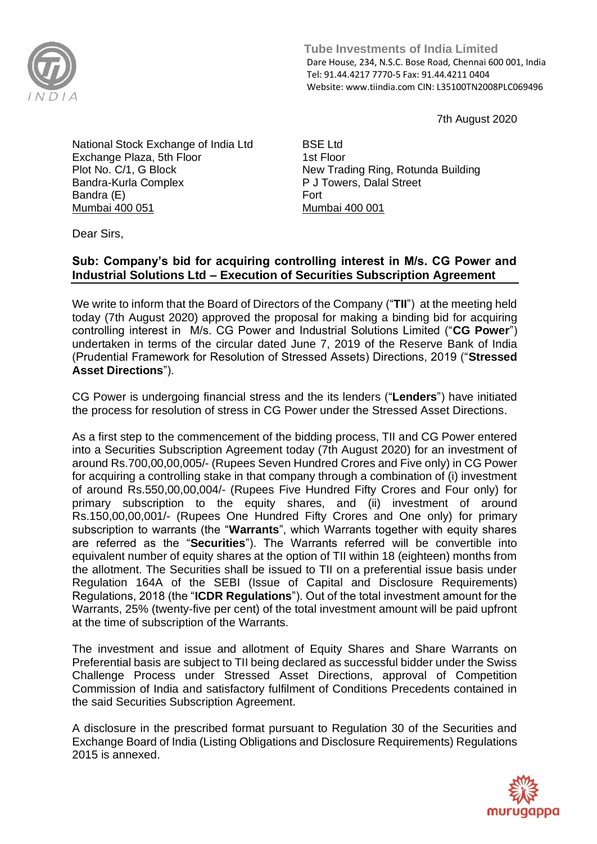

 **Tube Investments of India Limited**  Dare House, 234, N.S.C. Bose Road, Chennai 600 001, India Tel: 91.44.4217 7770-5 Fax: 91.44.4211 0404 Website: www.tiindia.com CIN: L35100TN2008PLC069496

7th August 2020

National Stock Exchange of India Ltd Exchange Plaza, 5th Floor Plot No. C/1, G Block Bandra-Kurla Complex Bandra (E) Mumbai 400 051

BSE Ltd 1st Floor New Trading Ring, Rotunda Building P J Towers, Dalal Street Fort Mumbai 400 001

Dear Sirs,

## **Sub: Company's bid for acquiring controlling interest in M/s. CG Power and Industrial Solutions Ltd – Execution of Securities Subscription Agreement**

We write to inform that the Board of Directors of the Company ("**TII**") at the meeting held today (7th August 2020) approved the proposal for making a binding bid for acquiring controlling interest in M/s. CG Power and Industrial Solutions Limited ("**CG Power**") undertaken in terms of the circular dated June 7, 2019 of the Reserve Bank of India (Prudential Framework for Resolution of Stressed Assets) Directions, 2019 ("**Stressed Asset Directions**").

CG Power is undergoing financial stress and the its lenders ("**Lenders**") have initiated the process for resolution of stress in CG Power under the Stressed Asset Directions.

As a first step to the commencement of the bidding process, TII and CG Power entered into a Securities Subscription Agreement today (7th August 2020) for an investment of around Rs.700,00,00,005/- (Rupees Seven Hundred Crores and Five only) in CG Power for acquiring a controlling stake in that company through a combination of (i) investment of around Rs.550,00,00,004/- (Rupees Five Hundred Fifty Crores and Four only) for primary subscription to the equity shares, and (ii) investment of around Rs.150,00,00,001/- (Rupees One Hundred Fifty Crores and One only) for primary subscription to warrants (the "**Warrants**", which Warrants together with equity shares are referred as the "**Securities**"). The Warrants referred will be convertible into equivalent number of equity shares at the option of TII within 18 (eighteen) months from the allotment. The Securities shall be issued to TII on a preferential issue basis under Regulation 164A of the SEBI (Issue of Capital and Disclosure Requirements) Regulations, 2018 (the "**ICDR Regulations**"). Out of the total investment amount for the Warrants, 25% (twenty-five per cent) of the total investment amount will be paid upfront at the time of subscription of the Warrants.

The investment and issue and allotment of Equity Shares and Share Warrants on Preferential basis are subject to TII being declared as successful bidder under the Swiss Challenge Process under Stressed Asset Directions, approval of Competition Commission of India and satisfactory fulfilment of Conditions Precedents contained in the said Securities Subscription Agreement.

A disclosure in the prescribed format pursuant to Regulation 30 of the Securities and Exchange Board of India (Listing Obligations and Disclosure Requirements) Regulations 2015 is annexed.

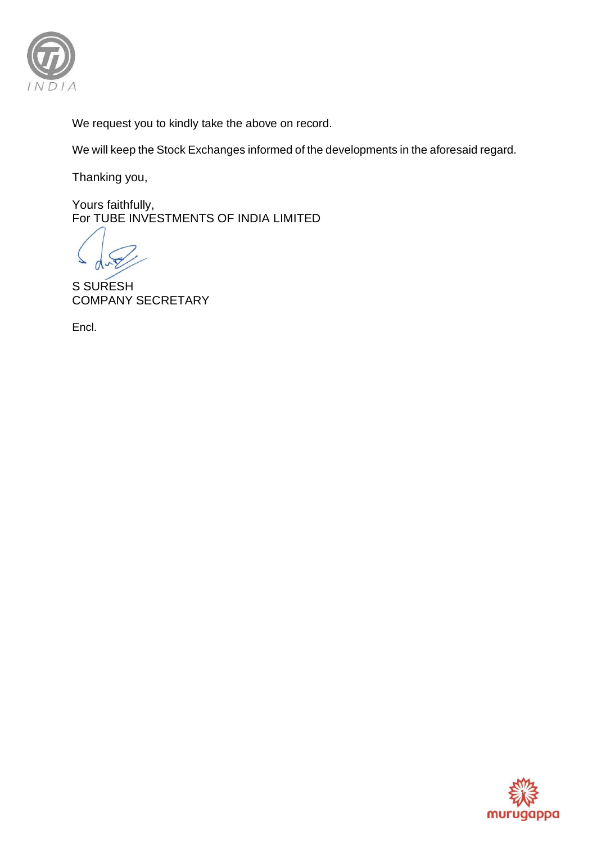

We request you to kindly take the above on record.

We will keep the Stock Exchanges informed of the developments in the aforesaid regard.

Thanking you,

Yours faithfully, For TUBE INVESTMENTS OF INDIA LIMITED

S SURESH COMPANY SECRETARY

Encl.

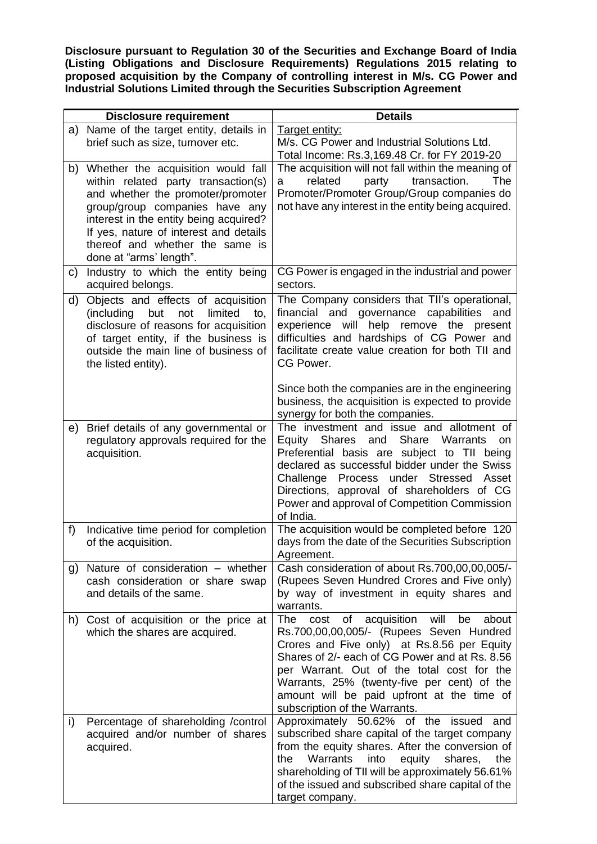**Disclosure pursuant to Regulation 30 of the Securities and Exchange Board of India (Listing Obligations and Disclosure Requirements) Regulations 2015 relating to proposed acquisition by the Company of controlling interest in M/s. CG Power and Industrial Solutions Limited through the Securities Subscription Agreement** 

|              | <b>Disclosure requirement</b>                                                                                                                                                                                                                                                                      | <b>Details</b>                                                                                                                                                                                                                                                                                                                                                                   |
|--------------|----------------------------------------------------------------------------------------------------------------------------------------------------------------------------------------------------------------------------------------------------------------------------------------------------|----------------------------------------------------------------------------------------------------------------------------------------------------------------------------------------------------------------------------------------------------------------------------------------------------------------------------------------------------------------------------------|
| a)           | Name of the target entity, details in<br>brief such as size, turnover etc.                                                                                                                                                                                                                         | Target entity:<br>M/s. CG Power and Industrial Solutions Ltd.<br>Total Income: Rs.3,169.48 Cr. for FY 2019-20                                                                                                                                                                                                                                                                    |
| b)           | Whether the acquisition would fall<br>within related party transaction(s)<br>and whether the promoter/promoter<br>group/group companies have any<br>interest in the entity being acquired?<br>If yes, nature of interest and details<br>thereof and whether the same is<br>done at "arms' length". | The acquisition will not fall within the meaning of<br>related<br>party<br>transaction.<br>The<br>a<br>Promoter/Promoter Group/Group companies do<br>not have any interest in the entity being acquired.                                                                                                                                                                         |
| $\mathsf{c}$ | Industry to which the entity being<br>acquired belongs.                                                                                                                                                                                                                                            | CG Power is engaged in the industrial and power<br>sectors.                                                                                                                                                                                                                                                                                                                      |
| d)           | Objects and effects of acquisition<br>limited<br>(including<br>but<br>not<br>to,<br>disclosure of reasons for acquisition<br>of target entity, if the business is<br>outside the main line of business of<br>the listed entity).                                                                   | The Company considers that TII's operational,<br>financial and governance<br>capabilities and<br>experience will help remove the present<br>difficulties and hardships of CG Power and<br>facilitate create value creation for both TII and<br>CG Power.                                                                                                                         |
|              |                                                                                                                                                                                                                                                                                                    | Since both the companies are in the engineering<br>business, the acquisition is expected to provide<br>synergy for both the companies.                                                                                                                                                                                                                                           |
| e)           | Brief details of any governmental or<br>regulatory approvals required for the<br>acquisition.                                                                                                                                                                                                      | The investment and issue and allotment of<br>Equity Shares and<br>Share Warrants<br><b>on</b><br>Preferential basis are subject to TII being<br>declared as successful bidder under the Swiss<br>Challenge Process under Stressed<br>Asset<br>Directions, approval of shareholders of CG<br>Power and approval of Competition Commission<br>of India.                            |
| f)           | Indicative time period for completion<br>of the acquisition.                                                                                                                                                                                                                                       | The acquisition would be completed before 120<br>days from the date of the Securities Subscription<br>Agreement.                                                                                                                                                                                                                                                                 |
| g)           | Nature of consideration - whether<br>cash consideration or share swap<br>and details of the same.                                                                                                                                                                                                  | Cash consideration of about Rs.700,00,00,005/-<br>(Rupees Seven Hundred Crores and Five only)<br>by way of investment in equity shares and<br>warrants.                                                                                                                                                                                                                          |
| h)           | Cost of acquisition or the price at<br>which the shares are acquired.                                                                                                                                                                                                                              | acquisition<br>will<br>The<br>of<br>be<br>about<br>cost<br>Rs.700,00,00,005/- (Rupees Seven Hundred<br>Crores and Five only) at Rs.8.56 per Equity<br>Shares of 2/- each of CG Power and at Rs. 8.56<br>per Warrant. Out of the total cost for the<br>Warrants, 25% (twenty-five per cent) of the<br>amount will be paid upfront at the time of<br>subscription of the Warrants. |
| i)           | Percentage of shareholding /control<br>acquired and/or number of shares<br>acquired.                                                                                                                                                                                                               | Approximately 50.62% of the issued<br>and<br>subscribed share capital of the target company<br>from the equity shares. After the conversion of<br>Warrants<br>into<br>equity<br>shares,<br>the<br>the<br>shareholding of TII will be approximately 56.61%<br>of the issued and subscribed share capital of the<br>target company.                                                |